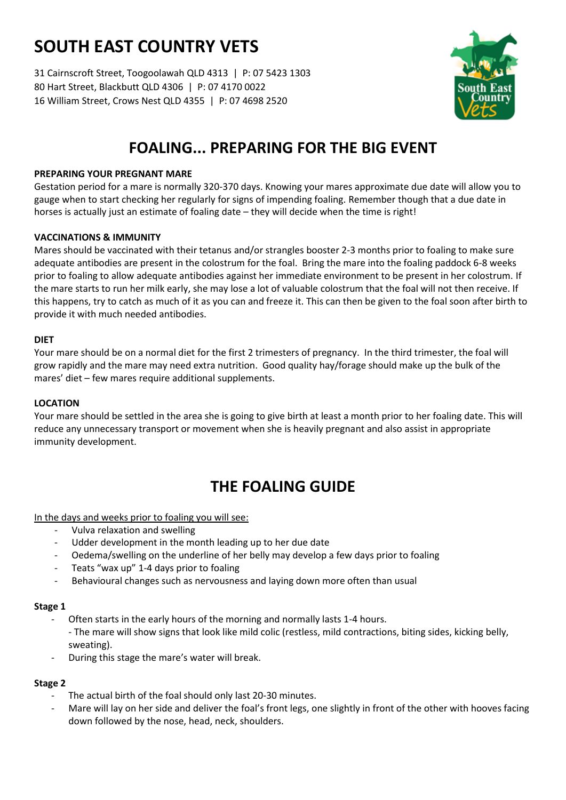# **SOUTH EAST COUNTRY VETS**

31 Cairnscroft Street, Toogoolawah QLD 4313 | P: 07 5423 1303 80 Hart Street, Blackbutt QLD 4306 | P: 07 4170 0022 16 William Street, Crows Nest QLD 4355 | P: 07 4698 2520



## **FOALING... PREPARING FOR THE BIG EVENT**

### **PREPARING YOUR PREGNANT MARE**

Gestation period for a mare is normally 320-370 days. Knowing your mares approximate due date will allow you to gauge when to start checking her regularly for signs of impending foaling. Remember though that a due date in horses is actually just an estimate of foaling date – they will decide when the time is right!

### **VACCINATIONS & IMMUNITY**

Mares should be vaccinated with their tetanus and/or strangles booster 2-3 months prior to foaling to make sure adequate antibodies are present in the colostrum for the foal. Bring the mare into the foaling paddock 6-8 weeks prior to foaling to allow adequate antibodies against her immediate environment to be present in her colostrum. If the mare starts to run her milk early, she may lose a lot of valuable colostrum that the foal will not then receive. If this happens, try to catch as much of it as you can and freeze it. This can then be given to the foal soon after birth to provide it with much needed antibodies.

### **DIET**

Your mare should be on a normal diet for the first 2 trimesters of pregnancy. In the third trimester, the foal will grow rapidly and the mare may need extra nutrition. Good quality hay/forage should make up the bulk of the mares' diet – few mares require additional supplements.

### **LOCATION**

Your mare should be settled in the area she is going to give birth at least a month prior to her foaling date. This will reduce any unnecessary transport or movement when she is heavily pregnant and also assist in appropriate immunity development.

### **THE FOALING GUIDE**

In the days and weeks prior to foaling you will see:

- Vulva relaxation and swelling
- Udder development in the month leading up to her due date
- Oedema/swelling on the underline of her belly may develop a few days prior to foaling
- Teats "wax up" 1-4 days prior to foaling
- Behavioural changes such as nervousness and laying down more often than usual

### **Stage 1**

- Often starts in the early hours of the morning and normally lasts 1-4 hours. - The mare will show signs that look like mild colic (restless, mild contractions, biting sides, kicking belly, sweating).
- During this stage the mare's water will break.

### **Stage 2**

- The actual birth of the foal should only last 20-30 minutes.
- Mare will lay on her side and deliver the foal's front legs, one slightly in front of the other with hooves facing down followed by the nose, head, neck, shoulders.